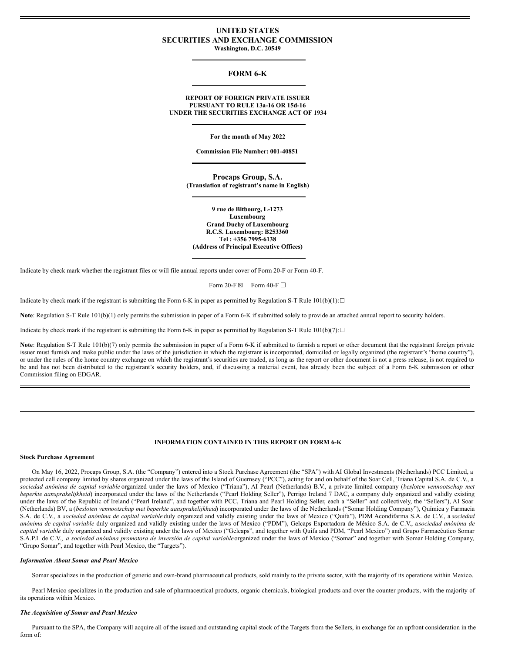# **UNITED STATES SECURITIES AND EXCHANGE COMMISSION Washington, D.C. 20549**

# **FORM 6-K**

## **REPORT OF FOREIGN PRIVATE ISSUER PURSUANT TO RULE 13a-16 OR 15d-16 UNDER THE SECURITIES EXCHANGE ACT OF 1934**

**For the month of May 2022**

**Commission File Number: 001-40851**

**Procaps Group, S.A. (Translation of registrant's name in English)**

**9 rue de Bitbourg, L-1273 Luxembourg Grand Duchy of Luxembourg R.C.S. Luxembourg: B253360 Tel : +356 7995-6138 (Address of Principal Executive Offices)**

Indicate by check mark whether the registrant files or will file annual reports under cover of Form 20-F or Form 40-F.

Form 20-F  $\boxtimes$  Form 40-F  $\Box$ 

Indicate by check mark if the registrant is submitting the Form 6-K in paper as permitted by Regulation S-T Rule  $101(b)(1):□$ 

**Note**: Regulation S-T Rule 101(b)(1) only permits the submission in paper of a Form 6-K if submitted solely to provide an attached annual report to security holders.

Indicate by check mark if the registrant is submitting the Form 6-K in paper as permitted by Regulation S-T Rule  $101(b)(7):$ 

Note: Regulation S-T Rule 101(b)(7) only permits the submission in paper of a Form 6-K if submitted to furnish a report or other document that the registrant foreign private issuer must furnish and make public under the laws of the jurisdiction in which the registrant is incorporated, domiciled or legally organized (the registrant's "home country"), or under the rules of the home country exchange on which the registrant's securities are traded, as long as the report or other document is not a press release, is not required to be and has not been distributed to the registrant's security holders, and, if discussing a material event, has already been the subject of a Form 6-K submission or other Commission filing on EDGAR.

## **INFORMATION CONTAINED IN THIS REPORT ON FORM 6-K**

### **Stock Purchase Agreement**

On May 16, 2022, Procaps Group, S.A. (the "Company") entered into a Stock Purchase Agreement (the "SPA") with AI Global Investments (Netherlands) PCC Limited, a protected cell company limited by shares organized under the laws of the Island of Guernsey ("PCC"), acting for and on behalf of the Soar Cell, Triana Capital S.A. de C.V., a *sociedad anónima de capital variable* organized under the laws of Mexico ("Triana"), AI Pearl (Netherlands) B.V., a private limited company (*besloten vennootschap met beperkte aansprakelijkheid*) incorporated under the laws of the Netherlands ("Pearl Holding Seller"), Perrigo Ireland 7 DAC, a company duly organized and validly existing under the laws of the Republic of Ireland ("Pearl Ireland", and together with PCC, Triana and Pearl Holding Seller, each a "Seller" and collectively, the "Sellers"), AI Soar (Netherlands) BV, a (*besloten vennootschap met beperkte aansprakelijkheid*) incorporated under the laws of the Netherlands ("Somar Holding Company"), Química y Farmacia S.A. de C.V., a *sociedad anónima de capital variable* duly organized and validly existing under the laws of Mexico ("Quifa"), PDM Acondifarma S.A. de C.V., a *sociedad anónima de capital variable* duly organized and validly existing under the laws of Mexico ("PDM"), Gelcaps Exportadora de México S.A. de C.V., a *sociedad anónima de capital variable* duly organized and validly existing under the laws of Mexico ("Gelcaps", and together with Quifa and PDM, "Pearl Mexico") and Grupo Farmacéutico Somar S.A.P.I. de C.V., a sociedad anónima promotora de inversión de capital variableorganized under the laws of Mexico ("Somar" and together with Somar Holding Company, "Grupo Somar", and together with Pearl Mexico, the "Targets").

### *Information About Somar and Pearl Mexico*

Somar specializes in the production of generic and own-brand pharmaceutical products, sold mainly to the private sector, with the majority of its operations within Mexico.

Pearl Mexico specializes in the production and sale of pharmaceutical products, organic chemicals, biological products and over the counter products, with the majority of its operations within Mexico.

### *The Acquisition of Somar and Pearl Mexico*

Pursuant to the SPA, the Company will acquire all of the issued and outstanding capital stock of the Targets from the Sellers, in exchange for an upfront consideration in the form of: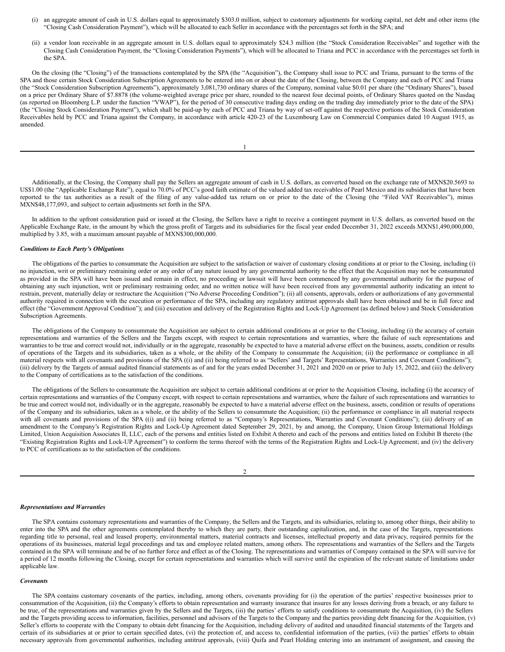- (i) an aggregate amount of cash in U.S. dollars equal to approximately \$303.0 million, subject to customary adjustments for working capital, net debt and other items (the "Closing Cash Consideration Payment"), which will be allocated to each Seller in accordance with the percentages set forth in the SPA; and
- (ii) a vendor loan receivable in an aggregate amount in U.S. dollars equal to approximately \$24.3 million (the "Stock Consideration Receivables" and together with the Closing Cash Consideration Payment, the "Closing Consideration Payments"), which will be allocated to Triana and PCC in accordance with the percentages set forth in the SPA.

On the closing (the "Closing") of the transactions contemplated by the SPA (the "Acquisition"), the Company shall issue to PCC and Triana, pursuant to the terms of the SPA and those certain Stock Consideration Subscription Agreements to be entered into on or about the date of the Closing, between the Company and each of PCC and Triana (the "Stock Consideration Subscription Agreements"), approximately 3,081,730 ordinary shares of the Company, nominal value \$0.01 per share (the "Ordinary Shares"), based on a price per Ordinary Share of \$7.8878 (the volume-weighted average price per share, rounded to the nearest four decimal points, of Ordinary Shares quoted on the Nasdaq (as reported on Bloomberg L.P. under the function "VWAP"), for the period of 30 consecutive trading days ending on the trading day immediately prior to the date of the SPA) (the "Closing Stock Consideration Payment"), which shall be paid-up by each of PCC and Triana by way of set-off against the respective portions of the Stock Consideration Receivables held by PCC and Triana against the Company, in accordance with article 420-23 of the Luxembourg Law on Commercial Companies dated 10 August 1915, as amended.

Additionally, at the Closing, the Company shall pay the Sellers an aggregate amount of cash in U.S. dollars, as converted based on the exchange rate of MXN\$20.5693 to US\$1.00 (the "Applicable Exchange Rate"), equal to 70.0% of PCC's good faith estimate of the valued added tax receivables of Pearl Mexico and its subsidiaries that have been reported to the tax authorities as a result of the filing of any value-added tax return on or prior to the date of the Closing (the "Filed VAT Receivables"), minus MXN\$48,177,093, and subject to certain adjustments set forth in the SPA.

In addition to the upfront consideration paid or issued at the Closing, the Sellers have a right to receive a contingent payment in U.S. dollars, as converted based on the Applicable Exchange Rate, in the amount by which the gross profit of Targets and its subsidiaries for the fiscal year ended December 31, 2022 exceeds MXN\$1,490,000,000, multiplied by 3.85, with a maximum amount payable of MXN\$300,000,000.

#### *Conditions to Each Party's Obligations*

The obligations of the parties to consummate the Acquisition are subject to the satisfaction or waiver of customary closing conditions at or prior to the Closing, including (i) no injunction, writ or preliminary restraining order or any order of any nature issued by any governmental authority to the effect that the Acquisition may not be consummated as provided in the SPA will have been issued and remain in effect, no proceeding or lawsuit will have been commenced by any governmental authority for the purpose of obtaining any such injunction, writ or preliminary restraining order, and no written notice will have been received from any governmental authority indicating an intent to restrain, prevent, materially delay or restructure the Acquisition ("No Adverse Proceeding Condition"); (ii) all consents, approvals, orders or authorizations of any governmental authority required in connection with the execution or performance of the SPA, including any regulatory antitrust approvals shall have been obtained and be in full force and effect (the "Government Approval Condition"); and (iii) execution and delivery of the Registration Rights and Lock-Up Agreement (as defined below) and Stock Consideration Subscription Agreements.

The obligations of the Company to consummate the Acquisition are subject to certain additional conditions at or prior to the Closing, including (i) the accuracy of certain representations and warranties of the Sellers and the Targets except, with respect to certain representations and warranties, where the failure of such representations and warranties to be true and correct would not, individually or in the aggregate, reasonably be expected to have a material adverse effect on the business, assets, condition or results of operations of the Targets and its subsidiaries, taken as a whole, or the ability of the Company to consummate the Acquisition; (ii) the performance or compliance in all material respects with all covenants and provisions of the SPA ((i) and (ii) being referred to as "Sellers' and Targets' Representations, Warranties and Covenant Conditions"); (iii) delivery by the Targets of annual audited financial statements as of and for the years ended December 31, 2021 and 2020 on or prior to July 15, 2022, and (iii) the delivery to the Company of certifications as to the satisfaction of the conditions.

The obligations of the Sellers to consummate the Acquisition are subject to certain additional conditions at or prior to the Acquisition Closing, including (i) the accuracy of certain representations and warranties of the Company except, with respect to certain representations and warranties, where the failure of such representations and warranties to be true and correct would not, individually or in the aggregate, reasonably be expected to have a material adverse effect on the business, assets, condition or results of operations of the Company and its subsidiaries, taken as a whole, or the ability of the Sellers to consummate the Acquisition; (ii) the performance or compliance in all material respects with all covenants and provisions of the SPA ((i) and (ii) being referred to as "Company's Representations, Warranties and Covenant Conditions"); (iii) delivery of an amendment to the Company's Registration Rights and Lock-Up Agreement dated September 29, 2021, by and among, the Company, Union Group International Holdings Limited, Union Acquisition Associates II, LLC, each of the persons and entities listed on Exhibit A thereto and each of the persons and entities listed on Exhibit B thereto (the "Existing Registration Rights and Lock-UP Agreement") to conform the terms thereof with the terms of the Registration Rights and Lock-Up Agreement; and (iv) the delivery to PCC of certifications as to the satisfaction of the conditions.

#### 2

#### *Representations and Warranties*

The SPA contains customary representations and warranties of the Company, the Sellers and the Targets, and its subsidiaries, relating to, among other things, their ability to enter into the SPA and the other agreements contemplated thereby to which they are party, their outstanding capitalization, and, in the case of the Targets, representations regarding title to personal, real and leased property, environmental matters, material contracts and licenses, intellectual property and data privacy, required permits for the operations of its businesses, material legal proceedings and tax and employee related matters, among others. The representations and warranties of the Sellers and the Targets contained in the SPA will terminate and be of no further force and effect as of the Closing. The representations and warranties of Company contained in the SPA will survive for a period of 12 months following the Closing, except for certain representations and warranties which will survive until the expiration of the relevant statute of limitations under applicable law.

#### *Covenants*

The SPA contains customary covenants of the parties, including, among others, covenants providing for (i) the operation of the parties' respective businesses prior to consummation of the Acquisition, (ii) the Company's efforts to obtain representation and warranty insurance that insures for any losses deriving from a breach, or any failure to be true, of the representations and warranties given by the Sellers and the Targets, (iii) the parties' efforts to satisfy conditions to consummate the Acquisition, (iv) the Sellers and the Targets providing access to information, facilities, personnel and advisors of the Targets to the Company and the parties providing debt financing for the Acquisition, (v) Seller's efforts to cooperate with the Company to obtain debt financing for the Acquisition, including delivery of audited and unaudited financial statements of the Targets and certain of its subsidiaries at or prior to certain specified dates, (vi) the protection of, and access to, confidential information of the parties, (vii) the parties' efforts to obtain necessary approvals from governmental authorities, including antitrust approvals, (viii) Quifa and Pearl Holding entering into an instrument of assignment, and causing the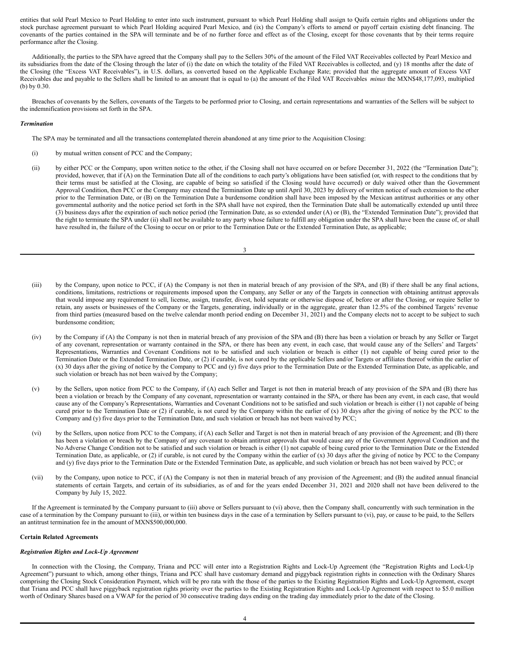entities that sold Pearl Mexico to Pearl Holding to enter into such instrument, pursuant to which Pearl Holding shall assign to Quifa certain rights and obligations under the stock purchase agreement pursuant to which Pearl Holding acquired Pearl Mexico, and (ix) the Company's efforts to amend or payoff certain existing debt financing. The covenants of the parties contained in the SPA will terminate and be of no further force and effect as of the Closing, except for those covenants that by their terms require performance after the Closing.

Additionally, the parties to the SPA have agreed that the Company shall pay to the Sellers 30% of the amount of the Filed VAT Receivables collected by Pearl Mexico and its subsidiaries from the date of the Closing through the later of (i) the date on which the totality of the Filed VAT Receivables is collected, and (y) 18 months after the date of the Closing (the "Excess VAT Receivables"), in U.S. dollars, as converted based on the Applicable Exchange Rate; provided that the aggregate amount of Excess VAT Receivables due and payable to the Sellers shall be limited to an amount that is equal to (a) the amount of the Filed VAT Receivables *minus* the MXN\$48,177,093, multiplied (b) by 0.30.

Breaches of covenants by the Sellers, covenants of the Targets to be performed prior to Closing, and certain representations and warranties of the Sellers will be subject to the indemnification provisions set forth in the SPA.

#### *Termination*

The SPA may be terminated and all the transactions contemplated therein abandoned at any time prior to the Acquisition Closing:

- (i) by mutual written consent of PCC and the Company;
- (ii) by either PCC or the Company, upon written notice to the other, if the Closing shall not have occurred on or before December 31, 2022 (the "Termination Date"); provided, however, that if (A) on the Termination Date all of the conditions to each party's obligations have been satisfied (or, with respect to the conditions that by their terms must be satisfied at the Closing, are capable of being so satisfied if the Closing would have occurred) or duly waived other than the Government Approval Condition, then PCC or the Company may extend the Termination Date up until April 30, 2023 by delivery of written notice of such extension to the other prior to the Termination Date, or (B) on the Termination Date a burdensome condition shall have been imposed by the Mexican antitrust authorities or any other governmental authority and the notice period set forth in the SPA shall have not expired, then the Termination Date shall be automatically extended up until three (3) business days after the expiration of such notice period (the Termination Date, as so extended under (A) or (B), the "Extended Termination Date"); provided that the right to terminate the SPA under (ii) shall not be available to any party whose failure to fulfill any obligation under the SPA shall have been the cause of, or shall have resulted in, the failure of the Closing to occur on or prior to the Termination Date or the Extended Termination Date, as applicable;

- (iii) by the Company, upon notice to PCC, if (A) the Company is not then in material breach of any provision of the SPA, and (B) if there shall be any final actions, conditions, limitations, restrictions or requirements imposed upon the Company, any Seller or any of the Targets in connection with obtaining antitrust approvals that would impose any requirement to sell, license, assign, transfer, divest, hold separate or otherwise dispose of, before or after the Closing, or require Seller to retain, any assets or businesses of the Company or the Targets, generating, individually or in the aggregate, greater than 12.5% of the combined Targets' revenue from third parties (measured based on the twelve calendar month period ending on December 31, 2021) and the Company elects not to accept to be subject to such burdensome condition;
- (iv) by the Company if (A) the Company is not then in material breach of any provision of the SPA and (B) there has been a violation or breach by any Seller or Target of any covenant, representation or warranty contained in the SPA, or there has been any event, in each case, that would cause any of the Sellers' and Targets' Representations, Warranties and Covenant Conditions not to be satisfied and such violation or breach is either (1) not capable of being cured prior to the Termination Date or the Extended Termination Date, or (2) if curable, is not cured by the applicable Sellers and/or Targets or affiliates thereof within the earlier of (x) 30 days after the giving of notice by the Company to PCC and (y) five days prior to the Termination Date or the Extended Termination Date, as applicable, and such violation or breach has not been waived by the Company;
- (v) by the Sellers, upon notice from PCC to the Company, if (A) each Seller and Target is not then in material breach of any provision of the SPA and (B) there has been a violation or breach by the Company of any covenant, representation or warranty contained in the SPA, or there has been any event, in each case, that would cause any of the Company's Representations, Warranties and Covenant Conditions not to be satisfied and such violation or breach is either (1) not capable of being cured prior to the Termination Date or (2) if curable, is not cured by the Company within the earlier of (x) 30 days after the giving of notice by the PCC to the Company and (y) five days prior to the Termination Date, and such violation or breach has not been waived by PCC;
- (vi) by the Sellers, upon notice from PCC to the Company, if (A) each Seller and Target is not then in material breach of any provision of the Agreement; and (B) there has been a violation or breach by the Company of any covenant to obtain antitrust approvals that would cause any of the Government Approval Condition and the No Adverse Change Condition not to be satisfied and such violation or breach is either (1) not capable of being cured prior to the Termination Date or the Extended Termination Date, as applicable, or (2) if curable, is not cured by the Company within the earlier of (x) 30 days after the giving of notice by PCC to the Company and (y) five days prior to the Termination Date or the Extended Termination Date, as applicable, and such violation or breach has not been waived by PCC; or
- (vii) by the Company, upon notice to PCC, if (A) the Company is not then in material breach of any provision of the Agreement; and (B) the audited annual financial statements of certain Targets, and certain of its subsidiaries, as of and for the years ended December 31, 2021 and 2020 shall not have been delivered to the Company by July 15, 2022.

If the Agreement is terminated by the Company pursuant to (iii) above or Sellers pursuant to (vi) above, then the Company shall, concurrently with such termination in the case of a termination by the Company pursuant to (iii), or within ten business days in the case of a termination by Sellers pursuant to (vi), pay, or cause to be paid, to the Sellers an antitrust termination fee in the amount of MXN\$500,000,000.

## **Certain Related Agreements**

### *Registration Rights and Lock-Up Agreement*

In connection with the Closing, the Company, Triana and PCC will enter into a Registration Rights and Lock-Up Agreement (the "Registration Rights and Lock-Up Agreement") pursuant to which, among other things, Triana and PCC shall have customary demand and piggyback registration rights in connection with the Ordinary Shares comprising the Closing Stock Consideration Payment, which will be pro rata with the those of the parties to the Existing Registration Rights and Lock-Up Agreement, except that Triana and PCC shall have piggyback registration rights priority over the parties to the Existing Registration Rights and Lock-Up Agreement with respect to \$5.0 million worth of Ordinary Shares based on a VWAP for the period of 30 consecutive trading days ending on the trading day immediately prior to the date of the Closing.